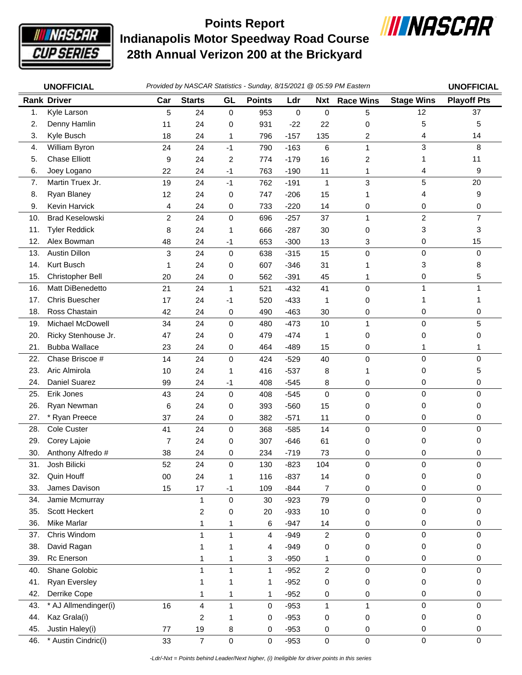

**Indianapolis Motor Speedway Road Course 28th Annual Verizon 200 at the Brickyard Points Report**



|     | <b>UNOFFICIAL</b>      |                |                         |              |               |             |                         | Provided by NASCAR Statistics - Sunday, 8/15/2021 @ 05:59 PM Eastern |                   | <b>UNOFFICIAL</b>  |
|-----|------------------------|----------------|-------------------------|--------------|---------------|-------------|-------------------------|----------------------------------------------------------------------|-------------------|--------------------|
|     | <b>Rank Driver</b>     | Car            | <b>Starts</b>           | GL           | <b>Points</b> | Ldr         | <b>Nxt</b>              | <b>Race Wins</b>                                                     | <b>Stage Wins</b> | <b>Playoff Pts</b> |
| 1.  | Kyle Larson            | 5              | 24                      | $\mathbf 0$  | 953           | $\mathbf 0$ | 0                       | 5                                                                    | 12                | 37                 |
| 2.  | Denny Hamlin           | 11             | 24                      | 0            | 931           | $-22$       | 22                      | 0                                                                    | 5                 | 5                  |
| 3.  | Kyle Busch             | 18             | 24                      | 1            | 796           | $-157$      | 135                     | $\overline{c}$                                                       | 4                 | 14                 |
| 4.  | William Byron          | 24             | 24                      | $-1$         | 790           | $-163$      | 6                       | $\mathbf{1}$                                                         | 3                 | 8                  |
| 5.  | <b>Chase Elliott</b>   | 9              | 24                      | 2            | 774           | $-179$      | 16                      | 2                                                                    | 1                 | 11                 |
| 6.  | Joey Logano            | 22             | 24                      | $-1$         | 763           | $-190$      | 11                      | 1                                                                    | 4                 | 9                  |
| 7.  | Martin Truex Jr.       | 19             | 24                      | $-1$         | 762           | $-191$      | $\mathbf{1}$            | 3                                                                    | 5                 | 20                 |
| 8.  | Ryan Blaney            | 12             | 24                      | 0            | 747           | $-206$      | 15                      | 1                                                                    | 4                 | 9                  |
| 9.  | Kevin Harvick          | 4              | 24                      | 0            | 733           | $-220$      | 14                      | 0                                                                    | 0                 | 0                  |
| 10. | <b>Brad Keselowski</b> | $\overline{c}$ | 24                      | 0            | 696           | $-257$      | 37                      | $\mathbf{1}$                                                         | $\overline{2}$    | $\overline{7}$     |
| 11. | <b>Tyler Reddick</b>   | 8              | 24                      | 1            | 666           | $-287$      | 30                      | 0                                                                    | 3                 | 3                  |
| 12. | Alex Bowman            | 48             | 24                      | $-1$         | 653           | $-300$      | 13                      | 3                                                                    | 0                 | 15                 |
| 13. | <b>Austin Dillon</b>   | 3              | 24                      | 0            | 638           | $-315$      | 15                      | $\mathbf 0$                                                          | 0                 | $\Omega$           |
| 14. | Kurt Busch             | 1              | 24                      | 0            | 607           | $-346$      | 31                      | 1                                                                    | 3                 | 8                  |
| 15. | Christopher Bell       | 20             | 24                      | 0            | 562           | $-391$      | 45                      | 1                                                                    | 0                 | 5                  |
| 16. | Matt DiBenedetto       | 21             | 24                      | 1            | 521           | $-432$      | 41                      | $\pmb{0}$                                                            | 1                 | 1                  |
| 17. | <b>Chris Buescher</b>  | 17             | 24                      | $-1$         | 520           | $-433$      | 1                       | 0                                                                    | 1                 |                    |
| 18. | Ross Chastain          | 42             | 24                      | 0            | 490           | $-463$      | 30                      | 0                                                                    | 0                 | 0                  |
| 19. | Michael McDowell       | 34             | 24                      | 0            | 480           | $-473$      | 10                      | $\mathbf{1}$                                                         | 0                 | 5                  |
| 20. | Ricky Stenhouse Jr.    | 47             | 24                      | 0            | 479           | $-474$      | 1                       | 0                                                                    | 0                 | 0                  |
| 21. | <b>Bubba Wallace</b>   | 23             | 24                      | 0            | 464           | $-489$      | 15                      | 0                                                                    | 1                 |                    |
| 22. | Chase Briscoe #        | 14             | 24                      | 0            | 424           | $-529$      | 40                      | 0                                                                    | $\mathsf 0$       | $\Omega$           |
| 23. | Aric Almirola          | 10             | 24                      | 1            | 416           | $-537$      | 8                       | 1                                                                    | 0                 | 5                  |
| 24. | Daniel Suarez          | 99             | 24                      | $-1$         | 408           | $-545$      | 8                       | 0                                                                    | 0                 | 0                  |
| 25. | Erik Jones             | 43             | 24                      | $\mathbf 0$  | 408           | $-545$      | 0                       | $\mathbf 0$                                                          | 0                 | 0                  |
| 26. | Ryan Newman            | 6              | 24                      | 0            | 393           | $-560$      | 15                      | 0                                                                    | 0                 | 0                  |
| 27. | * Ryan Preece          | 37             | 24                      | 0            | 382           | $-571$      | 11                      | 0                                                                    | 0                 | 0                  |
| 28. | Cole Custer            | 41             | 24                      | 0            | 368           | $-585$      | 14                      | 0                                                                    | $\mathsf 0$       | $\mathbf 0$        |
| 29. | Corey Lajoie           | 7              | 24                      | 0            | 307           | $-646$      | 61                      | 0                                                                    | 0                 | 0                  |
| 30. | Anthony Alfredo #      | 38             | 24                      | 0            | 234           | $-719$      | 73                      | 0                                                                    | 0                 | 0                  |
| 31. | Josh Bilicki           | 52             | 24                      | 0            | 130           | $-823$      | 104                     | 0                                                                    | 0                 | 0                  |
| 32. | Quin Houff             | 00             | 24                      | 1            | 116           | $-837$      | 14                      | 0                                                                    | 0                 | 0                  |
| 33. | James Davison          | 15             | 17                      | $-1$         | 109           | $-844$      | $\overline{7}$          | 0                                                                    | $\pmb{0}$         | $\mathbf 0$        |
| 34. | Jamie Mcmurray         |                | $\mathbf{1}$            | 0            | 30            | $-923$      | 79                      | 0                                                                    | 0                 | $\mathbf 0$        |
| 35. | Scott Heckert          |                | 2                       | 0            | 20            | $-933$      | 10                      | 0                                                                    | 0                 | 0                  |
| 36. | Mike Marlar            |                | 1                       | 1            | 6             | $-947$      | 14                      | 0                                                                    | 0                 | 0                  |
| 37. | Chris Windom           |                | $\mathbf{1}$            | $\mathbf{1}$ | 4             | $-949$      | $\overline{\mathbf{c}}$ | $\mathbf 0$                                                          | 0                 | $\Omega$           |
| 38. | David Ragan            |                | 1                       | 1            | 4             | $-949$      | 0                       | 0                                                                    | 0                 | 0                  |
| 39. | Rc Enerson             |                | 1                       | 1            | 3             | $-950$      | 1                       | 0                                                                    | 0                 | 0                  |
| 40. | Shane Golobic          |                | 1                       | $\mathbf{1}$ | $\mathbf{1}$  | $-952$      | $\overline{c}$          | $\mathbf 0$                                                          | $\mathbf 0$       | $\mathbf 0$        |
| 41. | <b>Ryan Eversley</b>   |                | 1                       | 1            | 1             | $-952$      | 0                       | 0                                                                    | 0                 | 0                  |
| 42. | Derrike Cope           |                | 1                       | 1            | 1             | $-952$      | 0                       | 0                                                                    | 0                 | 0                  |
| 43. | * AJ Allmendinger(i)   | 16             | $\overline{\mathbf{4}}$ | 1            | 0             | $-953$      | 1                       | $\mathbf{1}$                                                         | $\pmb{0}$         | $\mathbf 0$        |
| 44. | Kaz Grala(i)           |                | $\overline{\mathbf{c}}$ | 1            | 0             | $-953$      | 0                       | 0                                                                    | 0                 | 0                  |
| 45. | Justin Haley(i)        | 77             | 19                      | 8            | 0             | $-953$      | 0                       | 0                                                                    | 0                 | 0                  |
| 46. | * Austin Cindric(i)    | 33             | $\overline{7}$          | $\mathsf 0$  | $\mathsf 0$   | $-953$      | 0                       | 0                                                                    | $\pmb{0}$         | $\mathbf 0$        |